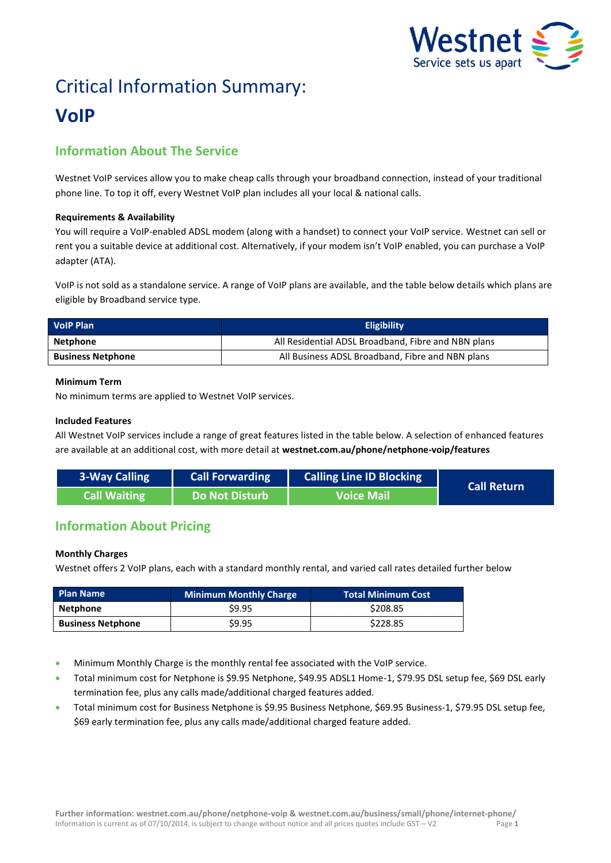

# Critical Information Summary: **VoIP**

# **Information About The Service**

Westnet VoIP services allow you to make cheap calls through your broadband connection, instead of your traditional phone line. To top it off, every Westnet VoIP plan includes all your local & national calls.

# **Requirements & Availability**

You will require a VoIP-enabled ADSL modem (along with a handset) to connect your VoIP service. Westnet can sell or rent you a suitable device at additional cost. Alternatively, if your modem isn't VoIP enabled, you can purchase a VoIP adapter (ATA).

VoIP is not sold as a standalone service. A range of VoIP plans are available, and the table below details which plans are eligible by Broadband service type.

| <b>VolP Plan</b>         | <b>Eligibility</b>                                  |  |  |
|--------------------------|-----------------------------------------------------|--|--|
| Netphone                 | All Residential ADSL Broadband, Fibre and NBN plans |  |  |
| <b>Business Netphone</b> | All Business ADSL Broadband, Fibre and NBN plans    |  |  |

# **Minimum Term**

No minimum terms are applied to Westnet VoIP services.

# **Included Features**

All Westnet VoIP services include a range of great features listed in the table below. A selection of enhanced features are available at an additional cost, with more detail at **[westnet.com.au/phone/netphone-voip/features](file://win2k.iinet.net.au/dfs/group/Customer%20Experience/WebDev/CORP%20TEAMS/Products/CIS%20Sheets/Word%20Templates/iiNet/www.westnet.com.au/phone/netphone-voip/features)**

| 3-Way Calling | <b>Call Forwarding</b> | <b>Calling Line ID Blocking</b> | <b>Call Return</b> |
|---------------|------------------------|---------------------------------|--------------------|
| Call Waiting  | Do Not Disturb         | <b>Voice Mail</b>               |                    |

# **Information About Pricing**

# **Monthly Charges**

Westnet offers 2 VoIP plans, each with a standard monthly rental, and varied call rates detailed further below

| <b>Plan Name</b>         | <b>Minimum Monthly Charge</b> | <b>Total Minimum Cost</b> |
|--------------------------|-------------------------------|---------------------------|
| Netphone                 | \$9.95                        | \$208.85                  |
| <b>Business Netphone</b> | \$9.95                        | \$228.85                  |

- Minimum Monthly Charge is the monthly rental fee associated with the VoIP service.
- Total minimum cost for Netphone is \$9.95 Netphone, \$49.95 ADSL1 Home-1, \$79.95 DSL setup fee, \$69 DSL early termination fee, plus any calls made/additional charged features added.
- Total minimum cost for Business Netphone is \$9.95 Business Netphone, \$69.95 Business-1, \$79.95 DSL setup fee, \$69 early termination fee, plus any calls made/additional charged feature added.